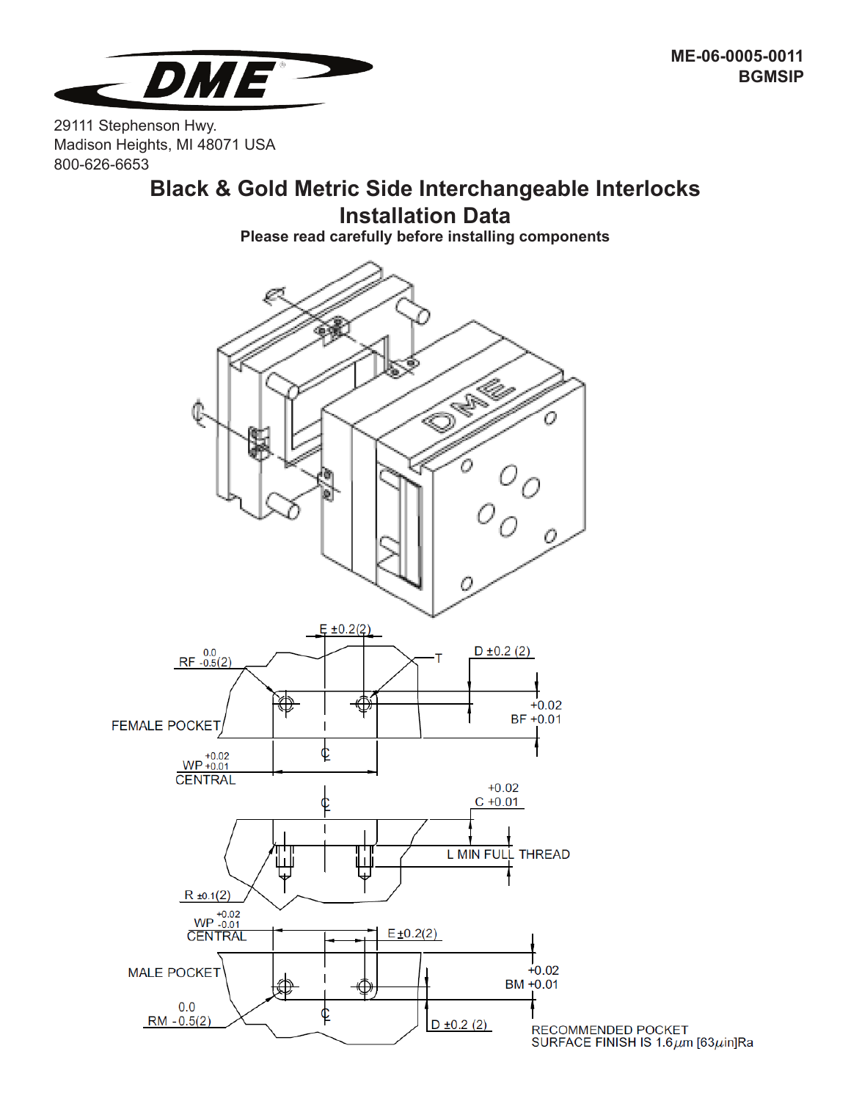

**ME-06-0005-0011 BGMSIP**

29111 Stephenson Hwy. Madison Heights, MI 48071 USA 800-626-6653

## **Black & Gold Metric Side Interchangeable Interlocks Installation Data**

**Please read carefully before installing components**